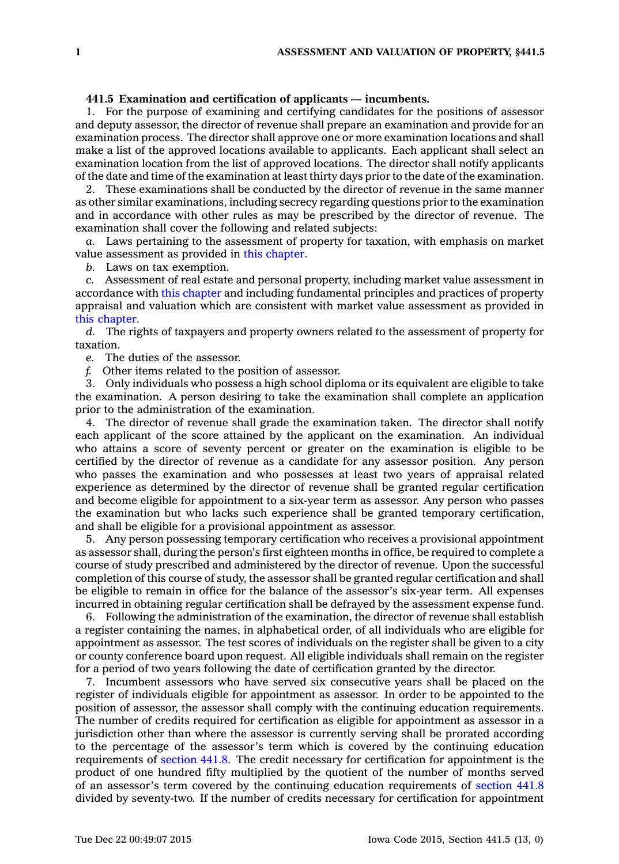## **441.5 Examination and certification of applicants — incumbents.**

1. For the purpose of examining and certifying candidates for the positions of assessor and deputy assessor, the director of revenue shall prepare an examination and provide for an examination process. The director shall approve one or more examination locations and shall make <sup>a</sup> list of the approved locations available to applicants. Each applicant shall select an examination location from the list of approved locations. The director shall notify applicants of the date and time of the examination at least thirty days prior to the date of the examination.

2. These examinations shall be conducted by the director of revenue in the same manner as other similar examinations, including secrecy regarding questions prior to the examination and in accordance with other rules as may be prescribed by the director of revenue. The examination shall cover the following and related subjects:

*a.* Laws pertaining to the assessment of property for taxation, with emphasis on market value assessment as provided in this [chapter](https://www.legis.iowa.gov/docs/code//441.pdf).

*b.* Laws on tax exemption.

*c.* Assessment of real estate and personal property, including market value assessment in accordance with this [chapter](https://www.legis.iowa.gov/docs/code//441.pdf) and including fundamental principles and practices of property appraisal and valuation which are consistent with market value assessment as provided in this [chapter](https://www.legis.iowa.gov/docs/code//441.pdf).

*d.* The rights of taxpayers and property owners related to the assessment of property for taxation.

*e.* The duties of the assessor.

*f.* Other items related to the position of assessor.

3. Only individuals who possess <sup>a</sup> high school diploma or its equivalent are eligible to take the examination. A person desiring to take the examination shall complete an application prior to the administration of the examination.

4. The director of revenue shall grade the examination taken. The director shall notify each applicant of the score attained by the applicant on the examination. An individual who attains <sup>a</sup> score of seventy percent or greater on the examination is eligible to be certified by the director of revenue as <sup>a</sup> candidate for any assessor position. Any person who passes the examination and who possesses at least two years of appraisal related experience as determined by the director of revenue shall be granted regular certification and become eligible for appointment to <sup>a</sup> six-year term as assessor. Any person who passes the examination but who lacks such experience shall be granted temporary certification, and shall be eligible for <sup>a</sup> provisional appointment as assessor.

5. Any person possessing temporary certification who receives <sup>a</sup> provisional appointment as assessor shall, during the person's first eighteen months in office, be required to complete <sup>a</sup> course of study prescribed and administered by the director of revenue. Upon the successful completion of this course of study, the assessor shall be granted regular certification and shall be eligible to remain in office for the balance of the assessor's six-year term. All expenses incurred in obtaining regular certification shall be defrayed by the assessment expense fund.

6. Following the administration of the examination, the director of revenue shall establish <sup>a</sup> register containing the names, in alphabetical order, of all individuals who are eligible for appointment as assessor. The test scores of individuals on the register shall be given to <sup>a</sup> city or county conference board upon request. All eligible individuals shall remain on the register for <sup>a</sup> period of two years following the date of certification granted by the director.

7. Incumbent assessors who have served six consecutive years shall be placed on the register of individuals eligible for appointment as assessor. In order to be appointed to the position of assessor, the assessor shall comply with the continuing education requirements. The number of credits required for certification as eligible for appointment as assessor in <sup>a</sup> jurisdiction other than where the assessor is currently serving shall be prorated according to the percentage of the assessor's term which is covered by the continuing education requirements of [section](https://www.legis.iowa.gov/docs/code//441.8.pdf) 441.8. The credit necessary for certification for appointment is the product of one hundred fifty multiplied by the quotient of the number of months served of an assessor's term covered by the continuing education requirements of [section](https://www.legis.iowa.gov/docs/code//441.8.pdf) 441.8 divided by seventy-two. If the number of credits necessary for certification for appointment